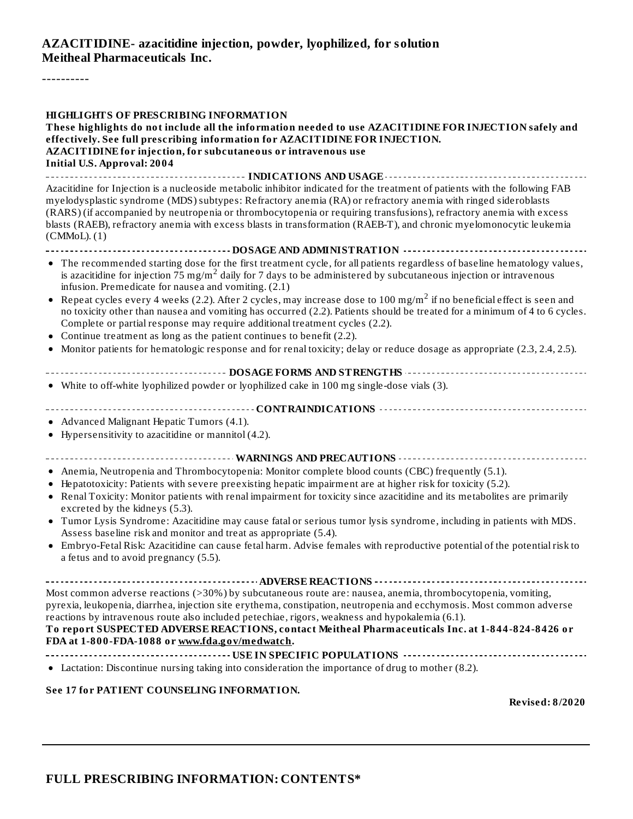#### **AZACITIDINE- azacitidine injection, powder, lyophilized, for solution Meitheal Pharmaceuticals Inc.**

----------

| <b>HIGHLIGHTS OF PRESCRIBING INFORMATION</b><br>These highlights do not include all the information needed to use AZACITIDINE FOR INJECTION safely and<br>effectively. See full prescribing information for AZACITIDINE FOR INJECTION.<br>AZACITIDINE for injection, for subcutaneous or intravenous use<br><b>Initial U.S. Approval: 2004</b><br>---------- INDICATIONS AND USAGE ----------- |
|------------------------------------------------------------------------------------------------------------------------------------------------------------------------------------------------------------------------------------------------------------------------------------------------------------------------------------------------------------------------------------------------|
| Azacitidine for Injection is a nucleoside metabolic inhibitor indicated for the treatment of patients with the following FAB                                                                                                                                                                                                                                                                   |
| myelodysplastic syndrome (MDS) subtypes: Refractory anemia (RA) or refractory anemia with ringed sideroblasts<br>(RARS) (if accompanied by neutropenia or thrombocytopenia or requiring transfusions), refractory anemia with excess<br>blasts (RAEB), refractory anemia with excess blasts in transformation (RAEB-T), and chronic myelomonocytic leukemia<br>(CMMol. (1)                     |
| DOSAGE AND ADMINISTRATION ------------------                                                                                                                                                                                                                                                                                                                                                   |
| • The recommended starting dose for the first treatment cycle, for all patients regardless of baseline hematology values,<br>is azacitidine for injection 75 mg/m <sup>2</sup> daily for 7 days to be administered by subcutaneous injection or intravenous<br>infusion. Premedicate for nausea and vomiting. (2.1)                                                                            |
| Repeat cycles every 4 weeks (2.2). After 2 cycles, may increase dose to 100 mg/m <sup>2</sup> if no beneficial effect is seen and<br>٠<br>no toxicity other than nausea and vomiting has occurred (2.2). Patients should be treated for a minimum of 4 to 6 cycles.<br>Complete or partial response may require additional treatment cycles (2.2).                                             |
| Continue treatment as long as the patient continues to benefit (2.2).                                                                                                                                                                                                                                                                                                                          |
| Monitor patients for hematologic response and for renal toxicity; delay or reduce dosage as appropriate (2.3, 2.4, 2.5).                                                                                                                                                                                                                                                                       |
|                                                                                                                                                                                                                                                                                                                                                                                                |
|                                                                                                                                                                                                                                                                                                                                                                                                |
| • White to off-white lyophilized powder or lyophilized cake in 100 mg single-dose vials (3).                                                                                                                                                                                                                                                                                                   |
|                                                                                                                                                                                                                                                                                                                                                                                                |
| • Advanced Malignant Hepatic Tumors (4.1).                                                                                                                                                                                                                                                                                                                                                     |
| • Hypersensitivity to azacitidine or mannitol (4.2).                                                                                                                                                                                                                                                                                                                                           |
|                                                                                                                                                                                                                                                                                                                                                                                                |
| • Anemia, Neutropenia and Thrombocytopenia: Monitor complete blood counts (CBC) frequently (5.1).                                                                                                                                                                                                                                                                                              |
| Hepatotoxicity: Patients with severe preexisting hepatic impairment are at higher risk for toxicity (5.2).<br>٠                                                                                                                                                                                                                                                                                |
| • Renal Toxicity: Monitor patients with renal impairment for toxicity since azacitidine and its metabolites are primarily<br>excreted by the kidneys (5.3).                                                                                                                                                                                                                                    |
| • Tumor Lysis Syndrome: Azacitidine may cause fatal or serious tumor lysis syndrome, including in patients with MDS.<br>Assess baseline risk and monitor and treat as appropriate (5.4).                                                                                                                                                                                                       |
| Embryo-Fetal Risk: Azacitidine can cause fetal harm. Advise females with reproductive potential of the potential risk to<br>a fetus and to avoid pregnancy (5.5).                                                                                                                                                                                                                              |
|                                                                                                                                                                                                                                                                                                                                                                                                |
| Most common adverse reactions (>30%) by subcutaneous route are: nausea, anemia, thrombocytopenia, vomiting,<br>pyrexia, leukopenia, diarrhea, injection site erythema, constipation, neutropenia and ecchymosis. Most common adverse                                                                                                                                                           |
| reactions by intravenous route also included petechiae, rigors, weakness and hypokalemia (6.1).<br>To report SUSPECTED ADVERSE REACTIONS, contact Meitheal Pharmaceuticals Inc. at 1-844-824-8426 or                                                                                                                                                                                           |
| FDA at 1-800-FDA-1088 or www.fda.gov/medwatch.                                                                                                                                                                                                                                                                                                                                                 |
|                                                                                                                                                                                                                                                                                                                                                                                                |
| • Lactation: Discontinue nursing taking into consideration the importance of drug to mother (8.2).                                                                                                                                                                                                                                                                                             |
|                                                                                                                                                                                                                                                                                                                                                                                                |
| See 17 for PATIENT COUNSELING INFORMATION.<br><b>Revised: 8/2020</b>                                                                                                                                                                                                                                                                                                                           |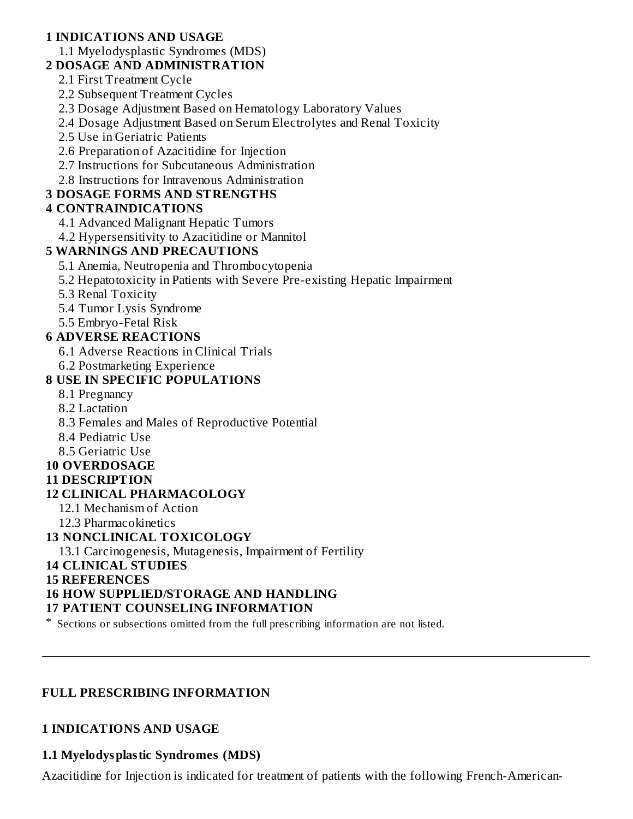## **1 INDICATIONS AND USAGE**

1.1 Myelodysplastic Syndromes (MDS)

## **2 DOSAGE AND ADMINISTRATION**

- 2.1 First Treatment Cycle
- 2.2 Subsequent Treatment Cycles
- 2.3 Dosage Adjustment Based on Hematology Laboratory Values
- 2.4 Dosage Adjustment Based on Serum Electrolytes and Renal Toxicity
- 2.5 Use in Geriatric Patients
- 2.6 Preparation of Azacitidine for Injection
- 2.7 Instructions for Subcutaneous Administration
- 2.8 Instructions for Intravenous Administration

## **3 DOSAGE FORMS AND STRENGTHS**

# **4 CONTRAINDICATIONS**

- 4.1 Advanced Malignant Hepatic Tumors
- 4.2 Hypersensitivity to Azacitidine or Mannitol

## **5 WARNINGS AND PRECAUTIONS**

- 5.1 Anemia, Neutropenia and Thrombocytopenia
- 5.2 Hepatotoxicity in Patients with Severe Pre-existing Hepatic Impairment
- 5.3 Renal Toxicity
- 5.4 Tumor Lysis Syndrome
- 5.5 Embryo-Fetal Risk

## **6 ADVERSE REACTIONS**

- 6.1 Adverse Reactions in Clinical Trials
- 6.2 Postmarketing Experience

# **8 USE IN SPECIFIC POPULATIONS**

- 8.1 Pregnancy
- 8.2 Lactation
- 8.3 Females and Males of Reproductive Potential
- 8.4 Pediatric Use
- 8.5 Geriatric Use

## **10 OVERDOSAGE**

### **11 DESCRIPTION**

## **12 CLINICAL PHARMACOLOGY**

- 12.1 Mechanism of Action
- 12.3 Pharmacokinetics

## **13 NONCLINICAL TOXICOLOGY**

13.1 Carcinogenesis, Mutagenesis, Impairment of Fertility

## **14 CLINICAL STUDIES**

### **15 REFERENCES**

# **16 HOW SUPPLIED/STORAGE AND HANDLING**

## **17 PATIENT COUNSELING INFORMATION**

\* Sections or subsections omitted from the full prescribing information are not listed.

## **FULL PRESCRIBING INFORMATION**

## **1 INDICATIONS AND USAGE**

## **1.1 Myelodysplastic Syndromes (MDS)**

Azacitidine for Injection is indicated for treatment of patients with the following French-American-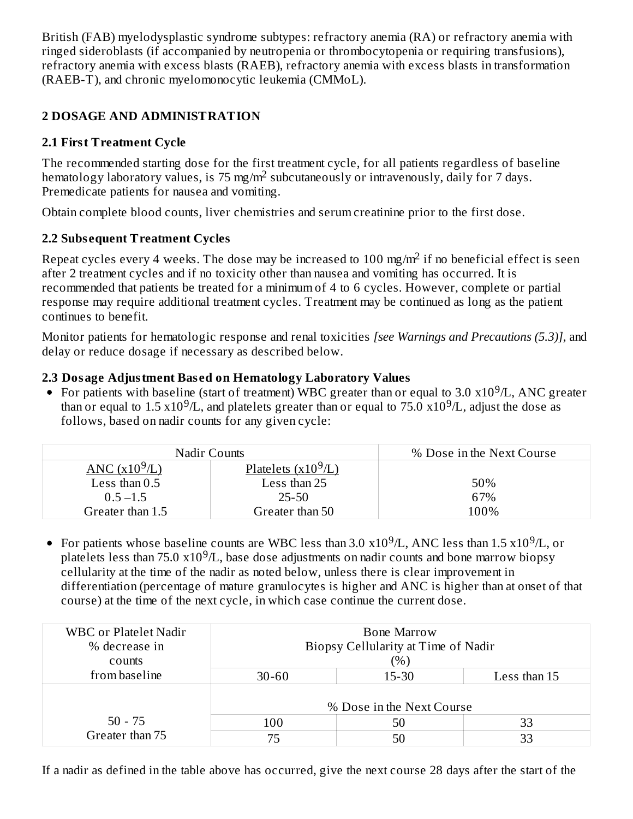British (FAB) myelodysplastic syndrome subtypes: refractory anemia (RA) or refractory anemia with ringed sideroblasts (if accompanied by neutropenia or thrombocytopenia or requiring transfusions), refractory anemia with excess blasts (RAEB), refractory anemia with excess blasts in transformation (RAEB-T), and chronic myelomonocytic leukemia (CMMoL).

# **2 DOSAGE AND ADMINISTRATION**

# **2.1 First Treatment Cycle**

The recommended starting dose for the first treatment cycle, for all patients regardless of baseline hematology laboratory values, is 75 mg/m<sup>2</sup> subcutaneously or intravenously, daily for 7 days. Premedicate patients for nausea and vomiting.

Obtain complete blood counts, liver chemistries and serum creatinine prior to the first dose.

# **2.2 Subs equent Treatment Cycles**

Repeat cycles every 4 weeks. The dose may be increased to 100 mg/m<sup>2</sup> if no beneficial effect is seen after 2 treatment cycles and if no toxicity other than nausea and vomiting has occurred. It is recommended that patients be treated for a minimum of 4 to 6 cycles. However, complete or partial response may require additional treatment cycles. Treatment may be continued as long as the patient continues to benefit.

Monitor patients for hematologic response and renal toxicities *[see Warnings and Precautions (5.3)],* and delay or reduce dosage if necessary as described below.

# **2.3 Dosage Adjustment Bas ed on Hematology Laboratory Values**

For patients with baseline (start of treatment) WBC greater than or equal to 3.0  $x10^9/L$ , ANC greater than or equal to 1.5  $x10^9/L$ , and platelets greater than or equal to 75.0  $x10^9/L$ , adjust the dose as follows, based on nadir counts for any given cycle:

| <b>Nadir Counts</b> |                                      | % Dose in the Next Course |
|---------------------|--------------------------------------|---------------------------|
| ANC $(x10^9/L)$     | <u>Platelets (x10<sup>9</sup>/L)</u> |                           |
| Less than $0.5$     | Less than 25                         | 50%                       |
| $0.5 - 1.5$         | 25-50                                | 67%                       |
| Greater than 1.5    | Greater than 50                      | 100%                      |

For patients whose baseline counts are WBC less than 3.0  $\mathrm{x10^9}$ /L, ANC less than 1.5  $\mathrm{x10^9}$ /L, or platelets less than 75.0  $x10^9/L$ , base dose adjustments on nadir counts and bone marrow biopsy cellularity at the time of the nadir as noted below, unless there is clear improvement in differentiation (percentage of mature granulocytes is higher and ANC is higher than at onset of that course) at the time of the next cycle, in which case continue the current dose.

| <b>WBC</b> or Platelet Nadir<br>% decrease in<br>counts |                                        | <b>Bone Marrow</b><br>Biopsy Cellularity at Time of Nadir<br>$(\%)$ |    |  |  |
|---------------------------------------------------------|----------------------------------------|---------------------------------------------------------------------|----|--|--|
| from baseline                                           | Less than 15<br>$15 - 30$<br>$30 - 60$ |                                                                     |    |  |  |
|                                                         | % Dose in the Next Course              |                                                                     |    |  |  |
| $50 - 75$                                               | 100                                    | 50                                                                  | 33 |  |  |
| Greater than 75                                         | 75                                     | 50                                                                  | 33 |  |  |

If a nadir as defined in the table above has occurred, give the next course 28 days after the start of the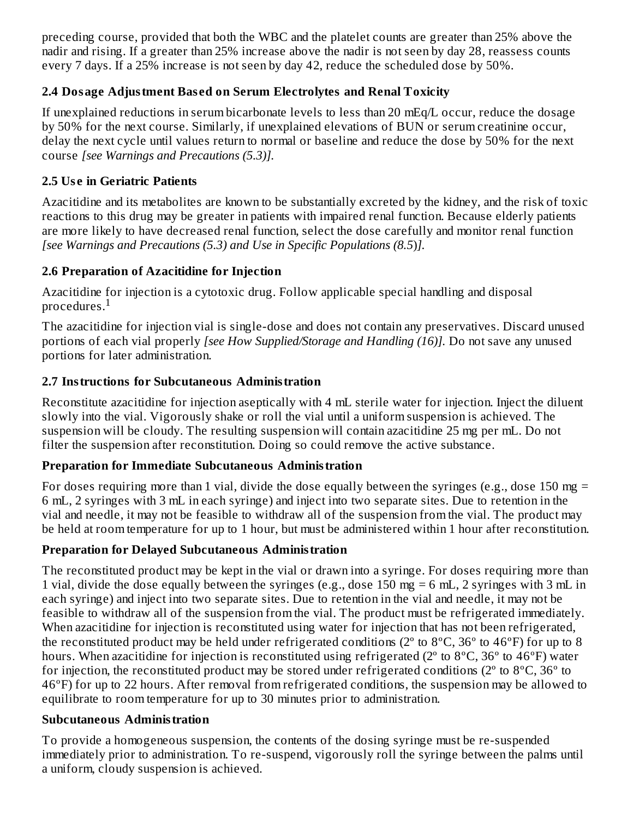preceding course, provided that both the WBC and the platelet counts are greater than 25% above the nadir and rising. If a greater than 25% increase above the nadir is not seen by day 28, reassess counts every 7 days. If a 25% increase is not seen by day 42, reduce the scheduled dose by 50%.

## **2.4 Dosage Adjustment Bas ed on Serum Electrolytes and Renal Toxicity**

If unexplained reductions in serum bicarbonate levels to less than 20 mEq/L occur, reduce the dosage by 50% for the next course. Similarly, if unexplained elevations of BUN or serum creatinine occur, delay the next cycle until values return to normal or baseline and reduce the dose by 50% for the next course *[see Warnings and Precautions (5.3)].*

# **2.5 Us e in Geriatric Patients**

Azacitidine and its metabolites are known to be substantially excreted by the kidney, and the risk of toxic reactions to this drug may be greater in patients with impaired renal function. Because elderly patients are more likely to have decreased renal function, select the dose carefully and monitor renal function *[see Warnings and Precautions (5.3) and Use in Specific Populations (8.5*)*].*

# **2.6 Preparation of Azacitidine for Injection**

Azacitidine for injection is a cytotoxic drug. Follow applicable special handling and disposal procedures. $^{\rm 1}$ 

The azacitidine for injection vial is single-dose and does not contain any preservatives. Discard unused portions of each vial properly *[see How Supplied/Storage and Handling (16)].* Do not save any unused portions for later administration.

# **2.7 Instructions for Subcutaneous Administration**

Reconstitute azacitidine for injection aseptically with 4 mL sterile water for injection. Inject the diluent slowly into the vial. Vigorously shake or roll the vial until a uniform suspension is achieved. The suspension will be cloudy. The resulting suspension will contain azacitidine 25 mg per mL. Do not filter the suspension after reconstitution. Doing so could remove the active substance.

## **Preparation for Immediate Subcutaneous Administration**

For doses requiring more than 1 vial, divide the dose equally between the syringes (e.g., dose 150 mg  $=$ 6 mL, 2 syringes with 3 mL in each syringe) and inject into two separate sites. Due to retention in the vial and needle, it may not be feasible to withdraw all of the suspension from the vial. The product may be held at room temperature for up to 1 hour, but must be administered within 1 hour after reconstitution.

# **Preparation for Delayed Subcutaneous Administration**

The reconstituted product may be kept in the vial or drawn into a syringe. For doses requiring more than 1 vial, divide the dose equally between the syringes (e.g., dose 150 mg = 6 mL, 2 syringes with 3 mL in each syringe) and inject into two separate sites. Due to retention in the vial and needle, it may not be feasible to withdraw all of the suspension from the vial. The product must be refrigerated immediately. When azacitidine for injection is reconstituted using water for injection that has not been refrigerated, the reconstituted product may be held under refrigerated conditions ( $2^{\circ}$  to  $8^{\circ}$ C,  $36^{\circ}$  to  $46^{\circ}$ F) for up to 8 hours. When azacitidine for injection is reconstituted using refrigerated (2<sup>o</sup> to 8<sup>o</sup>C, 36<sup>o</sup> to 46<sup>o</sup>F) water for injection, the reconstituted product may be stored under refrigerated conditions ( $2^{\circ}$  to  $8^{\circ}$ C,  $36^{\circ}$  to 46ºF) for up to 22 hours. After removal from refrigerated conditions, the suspension may be allowed to equilibrate to room temperature for up to 30 minutes prior to administration.

## **Subcutaneous Administration**

To provide a homogeneous suspension, the contents of the dosing syringe must be re-suspended immediately prior to administration. To re-suspend, vigorously roll the syringe between the palms until a uniform, cloudy suspension is achieved.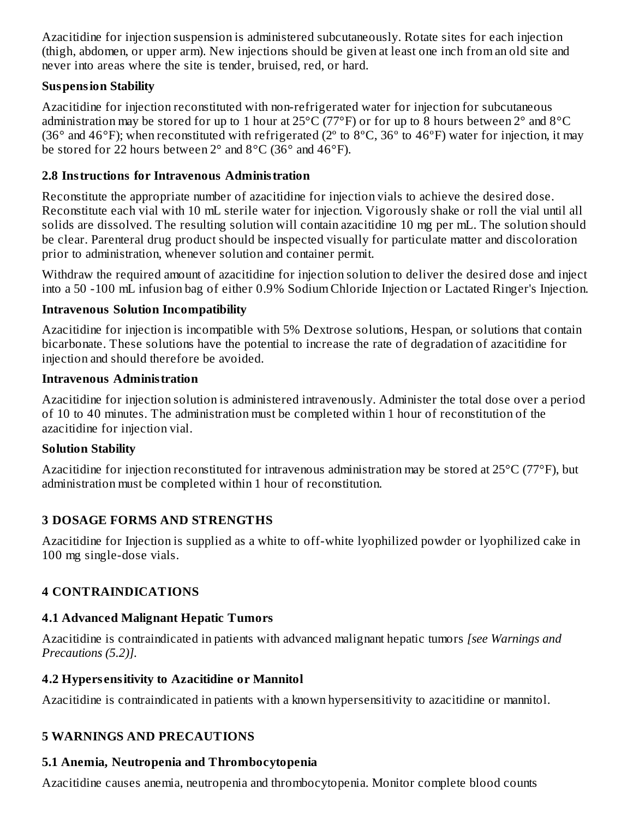Azacitidine for injection suspension is administered subcutaneously. Rotate sites for each injection (thigh, abdomen, or upper arm). New injections should be given at least one inch from an old site and never into areas where the site is tender, bruised, red, or hard.

### **Suspension Stability**

Azacitidine for injection reconstituted with non-refrigerated water for injection for subcutaneous administration may be stored for up to 1 hour at 25°C (77°F) or for up to 8 hours between 2° and 8°C (36° and 46°F); when reconstituted with refrigerated (2° to 8°C, 36° to 46°F) water for injection, it may be stored for 22 hours between  $2^{\circ}$  and  $8^{\circ}$ C (36 $^{\circ}$  and 46 $^{\circ}$ F).

## **2.8 Instructions for Intravenous Administration**

Reconstitute the appropriate number of azacitidine for injection vials to achieve the desired dose. Reconstitute each vial with 10 mL sterile water for injection. Vigorously shake or roll the vial until all solids are dissolved. The resulting solution will contain azacitidine 10 mg per mL. The solution should be clear. Parenteral drug product should be inspected visually for particulate matter and discoloration prior to administration, whenever solution and container permit.

Withdraw the required amount of azacitidine for injection solution to deliver the desired dose and inject into a 50 -100 mL infusion bag of either 0.9% Sodium Chloride Injection or Lactated Ringer's Injection.

### **Intravenous Solution Incompatibility**

Azacitidine for injection is incompatible with 5% Dextrose solutions, Hespan, or solutions that contain bicarbonate. These solutions have the potential to increase the rate of degradation of azacitidine for injection and should therefore be avoided.

### **Intravenous Administration**

Azacitidine for injection solution is administered intravenously. Administer the total dose over a period of 10 to 40 minutes. The administration must be completed within 1 hour of reconstitution of the azacitidine for injection vial.

## **Solution Stability**

Azacitidine for injection reconstituted for intravenous administration may be stored at 25°C (77°F), but administration must be completed within 1 hour of reconstitution.

## **3 DOSAGE FORMS AND STRENGTHS**

Azacitidine for Injection is supplied as a white to off-white lyophilized powder or lyophilized cake in 100 mg single-dose vials.

## **4 CONTRAINDICATIONS**

## **4.1 Advanced Malignant Hepatic Tumors**

Azacitidine is contraindicated in patients with advanced malignant hepatic tumors *[see Warnings and Precautions (5.2)].*

## **4.2 Hypers ensitivity to Azacitidine or Mannitol**

Azacitidine is contraindicated in patients with a known hypersensitivity to azacitidine or mannitol.

# **5 WARNINGS AND PRECAUTIONS**

# **5.1 Anemia, Neutropenia and Thrombocytopenia**

Azacitidine causes anemia, neutropenia and thrombocytopenia. Monitor complete blood counts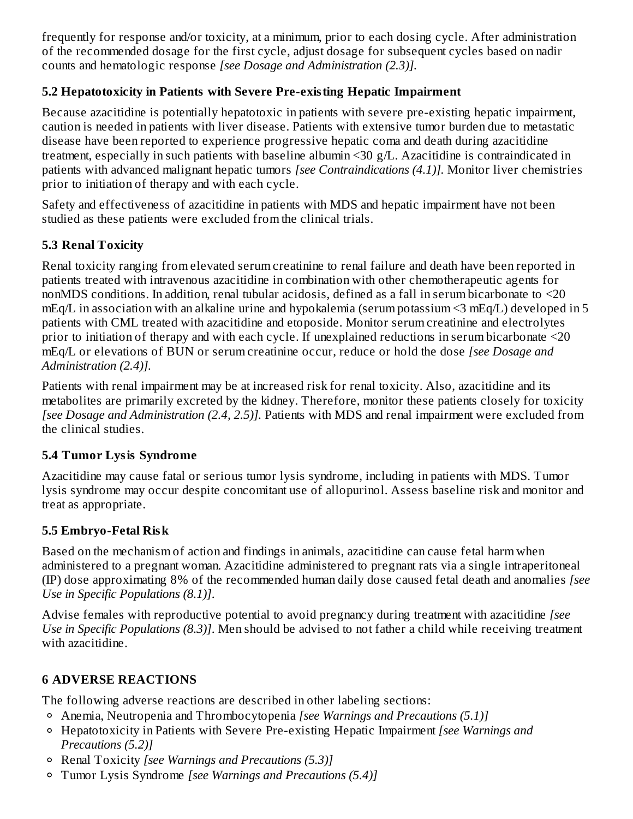frequently for response and/or toxicity, at a minimum, prior to each dosing cycle. After administration of the recommended dosage for the first cycle, adjust dosage for subsequent cycles based on nadir counts and hematologic response *[see Dosage and Administration (2.3)].*

## **5.2 Hepatotoxicity in Patients with Severe Pre-existing Hepatic Impairment**

Because azacitidine is potentially hepatotoxic in patients with severe pre-existing hepatic impairment, caution is needed in patients with liver disease. Patients with extensive tumor burden due to metastatic disease have been reported to experience progressive hepatic coma and death during azacitidine treatment, especially in such patients with baseline albumin <30 g/L. Azacitidine is contraindicated in patients with advanced malignant hepatic tumors *[see Contraindications (4.1)].* Monitor liver chemistries prior to initiation of therapy and with each cycle.

Safety and effectiveness of azacitidine in patients with MDS and hepatic impairment have not been studied as these patients were excluded from the clinical trials.

## **5.3 Renal Toxicity**

Renal toxicity ranging from elevated serum creatinine to renal failure and death have been reported in patients treated with intravenous azacitidine in combination with other chemotherapeutic agents for nonMDS conditions. In addition, renal tubular acidosis, defined as a fall in serum bicarbonate to <20 mEq/L in association with an alkaline urine and hypokalemia (serum potassium <3 mEq/L) developed in 5 patients with CML treated with azacitidine and etoposide. Monitor serum creatinine and electrolytes prior to initiation of therapy and with each cycle. If unexplained reductions in serum bicarbonate <20 mEq/L or elevations of BUN or serum creatinine occur, reduce or hold the dose *[see Dosage and Administration (2.4)].*

Patients with renal impairment may be at increased risk for renal toxicity. Also, azacitidine and its metabolites are primarily excreted by the kidney. Therefore, monitor these patients closely for toxicity *[see Dosage and Administration (2.4, 2.5)].* Patients with MDS and renal impairment were excluded from the clinical studies.

## **5.4 Tumor Lysis Syndrome**

Azacitidine may cause fatal or serious tumor lysis syndrome, including in patients with MDS. Tumor lysis syndrome may occur despite concomitant use of allopurinol. Assess baseline risk and monitor and treat as appropriate.

## **5.5 Embryo-Fetal Risk**

Based on the mechanism of action and findings in animals, azacitidine can cause fetal harm when administered to a pregnant woman. Azacitidine administered to pregnant rats via a single intraperitoneal (IP) dose approximating 8% of the recommended human daily dose caused fetal death and anomalies *[see Use in Specific Populations (8.1)]*.

Advise females with reproductive potential to avoid pregnancy during treatment with azacitidine *[see Use in Specific Populations (8.3)]*. Men should be advised to not father a child while receiving treatment with azacitidine.

# **6 ADVERSE REACTIONS**

The following adverse reactions are described in other labeling sections:

- Anemia, Neutropenia and Thrombocytopenia *[see Warnings and Precautions (5.1)]*
- Hepatotoxicity in Patients with Severe Pre-existing Hepatic Impairment *[see Warnings and Precautions (5.2)]*
- Renal Toxicity *[see Warnings and Precautions (5.3)]*
- Tumor Lysis Syndrome *[see Warnings and Precautions (5.4)]*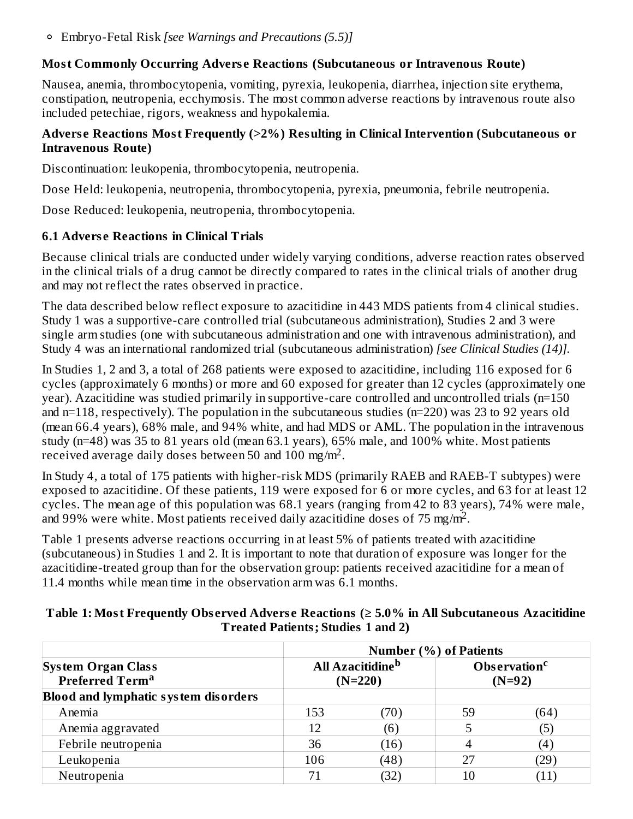Embryo-Fetal Risk *[see Warnings and Precautions (5.5)]*

#### **Most Commonly Occurring Advers e Reactions (Subcutaneous or Intravenous Route)**

Nausea, anemia, thrombocytopenia, vomiting, pyrexia, leukopenia, diarrhea, injection site erythema, constipation, neutropenia, ecchymosis. The most common adverse reactions by intravenous route also included petechiae, rigors, weakness and hypokalemia.

#### **Advers e Reactions Most Frequently (>2%) Resulting in Clinical Intervention (Subcutaneous or Intravenous Route)**

Discontinuation: leukopenia, thrombocytopenia, neutropenia.

Dose Held: leukopenia, neutropenia, thrombocytopenia, pyrexia, pneumonia, febrile neutropenia.

Dose Reduced: leukopenia, neutropenia, thrombocytopenia.

### **6.1 Advers e Reactions in Clinical Trials**

Because clinical trials are conducted under widely varying conditions, adverse reaction rates observed in the clinical trials of a drug cannot be directly compared to rates in the clinical trials of another drug and may not reflect the rates observed in practice.

The data described below reflect exposure to azacitidine in 443 MDS patients from 4 clinical studies. Study 1 was a supportive-care controlled trial (subcutaneous administration), Studies 2 and 3 were single arm studies (one with subcutaneous administration and one with intravenous administration), and Study 4 was an international randomized trial (subcutaneous administration) *[see Clinical Studies (14)].*

In Studies 1, 2 and 3, a total of 268 patients were exposed to azacitidine, including 116 exposed for 6 cycles (approximately 6 months) or more and 60 exposed for greater than 12 cycles (approximately one year). Azacitidine was studied primarily in supportive-care controlled and uncontrolled trials (n=150 and n=118, respectively). The population in the subcutaneous studies (n=220) was 23 to 92 years old (mean 66.4 years), 68% male, and 94% white, and had MDS or AML. The population in the intravenous study (n=48) was 35 to 81 years old (mean 63.1 years), 65% male, and 100% white. Most patients received average daily doses between 50 and 100 mg/m<sup>2</sup>.

In Study 4, a total of 175 patients with higher-risk MDS (primarily RAEB and RAEB-T subtypes) were exposed to azacitidine. Of these patients, 119 were exposed for 6 or more cycles, and 63 for at least 12 cycles. The mean age of this population was 68.1 years (ranging from 42 to 83 years), 74% were male, and 99% were white. Most patients received daily azacitidine doses of  $75 \text{ mg/m}^2$ .

Table 1 presents adverse reactions occurring in at least 5% of patients treated with azacitidine (subcutaneous) in Studies 1 and 2. It is important to note that duration of exposure was longer for the azacitidine-treated group than for the observation group: patients received azacitidine for a mean of 11.4 months while mean time in the observation arm was 6.1 months.

| Table 1: Most Frequently Observed Adverse Reactions ( $\geq 5.0\%$ in All Subcutaneous Azacitidine |  |
|----------------------------------------------------------------------------------------------------|--|
| <b>Treated Patients; Studies 1 and 2)</b>                                                          |  |

|                                                          |     | <b>Number (%) of Patients</b>                    |    |                                      |
|----------------------------------------------------------|-----|--------------------------------------------------|----|--------------------------------------|
| <b>System Organ Class</b><br>Preferred Term <sup>a</sup> |     | <b>All Azacitidine</b> <sup>b</sup><br>$(N=220)$ |    | Observation <sup>c</sup><br>$(N=92)$ |
| <b>Blood and lymphatic system disorders</b>              |     |                                                  |    |                                      |
| Anemia                                                   | 153 | 70)                                              | 59 | $64^\circ$                           |
| Anemia aggravated                                        | 12  | (6)                                              | 5  | 'ט                                   |
| Febrile neutropenia                                      | 36  | (16)                                             |    | 14                                   |
| Leukopenia                                               | 106 | (48)                                             | 27 | 29                                   |
| Neutropenia                                              |     | (32)                                             | 10 |                                      |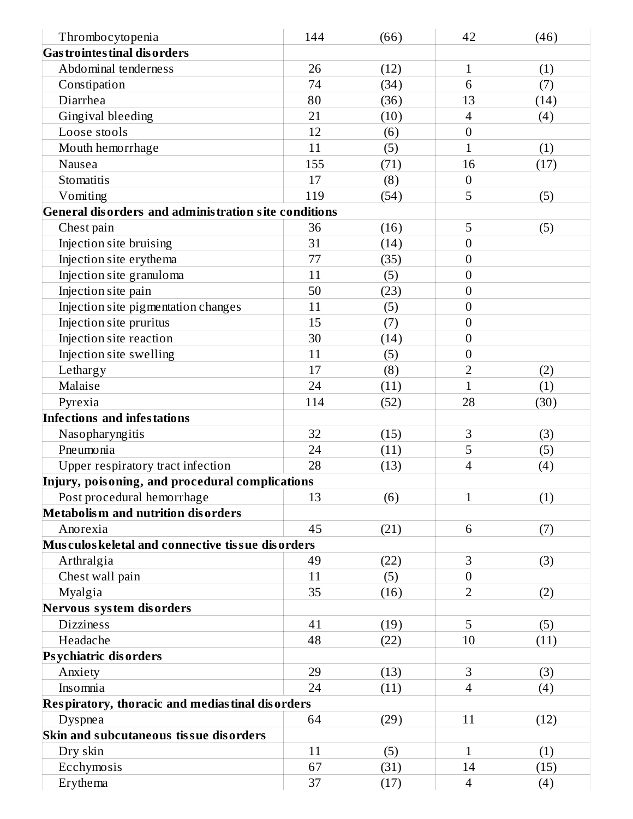| Thrombocytopenia                                     | 144 | (66) | 42               | (46) |
|------------------------------------------------------|-----|------|------------------|------|
| <b>Gas trointes tinal dis orders</b>                 |     |      |                  |      |
| Abdominal tenderness                                 | 26  | (12) | $\mathbf 1$      | (1)  |
| Constipation                                         | 74  | (34) | 6                | (7)  |
| Diarrhea                                             | 80  | (36) | 13               | (14) |
| Gingival bleeding                                    | 21  | (10) | $\overline{4}$   | (4)  |
| Loose stools                                         | 12  | (6)  | $\boldsymbol{0}$ |      |
| Mouth hemorrhage                                     | 11  | (5)  | $\overline{1}$   | (1)  |
| Nausea                                               | 155 | (71) | 16               | (17) |
| Stomatitis                                           | 17  | (8)  | $\boldsymbol{0}$ |      |
| Vomiting                                             | 119 | (54) | 5                | (5)  |
| General disorders and administration site conditions |     |      |                  |      |
| Chest pain                                           | 36  | (16) | 5                | (5)  |
| Injection site bruising                              | 31  | (14) | $\boldsymbol{0}$ |      |
| Injection site erythema                              | 77  | (35) | $\boldsymbol{0}$ |      |
| Injection site granuloma                             | 11  | (5)  | $\boldsymbol{0}$ |      |
| Injection site pain                                  | 50  | (23) | $\boldsymbol{0}$ |      |
| Injection site pigmentation changes                  | 11  | (5)  | $\mathbf{0}$     |      |
| Injection site pruritus                              | 15  | (7)  | $\boldsymbol{0}$ |      |
| Injection site reaction                              | 30  | (14) | $\boldsymbol{0}$ |      |
| Injection site swelling                              | 11  | (5)  | $\boldsymbol{0}$ |      |
| Lethargy                                             | 17  | (8)  | $\overline{2}$   | (2)  |
| Malaise                                              | 24  | (11) | $\mathbf{1}$     | (1)  |
| Pyrexia                                              | 114 | (52) | 28               | (30) |
| <b>Infections and infestations</b>                   |     |      |                  |      |
| Nasopharyngitis                                      | 32  | (15) | $\mathbf{3}$     | (3)  |
| Pneumonia                                            | 24  | (11) | 5                | (5)  |
| Upper respiratory tract infection                    | 28  | (13) | $\overline{4}$   | (4)  |
| Injury, poisoning, and procedural complications      |     |      |                  |      |
| Post procedural hemorrhage                           | 13  | (6)  | 1                | (1)  |
| <b>Metabolism and nutrition disorders</b>            |     |      |                  |      |
| Anorexia                                             | 45  | (21) | 6                | (7)  |
| Musculos keletal and connective tissue disorders     |     |      |                  |      |
| Arthralgia                                           | 49  | (22) | 3                | (3)  |
| Chest wall pain                                      | 11  | (5)  | $\boldsymbol{0}$ |      |
| Myalgia                                              | 35  | (16) | $\overline{2}$   | (2)  |
| Nervous system disorders                             |     |      |                  |      |
| <b>Dizziness</b>                                     | 41  | (19) | 5                | (5)  |
| Headache                                             | 48  | (22) | 10               | (11) |
| Psychiatric disorders                                |     |      |                  |      |
| Anxiety                                              | 29  | (13) | 3                | (3)  |
| Insomnia                                             | 24  | (11) | $\overline{4}$   | (4)  |
| Respiratory, thoracic and mediastinal disorders      |     |      |                  |      |
| Dyspnea                                              | 64  | (29) | 11               | (12) |
| Skin and subcutaneous tissue disorders               |     |      |                  |      |
| Dry skin                                             | 11  | (5)  | 1                | (1)  |
| Ecchymosis                                           | 67  | (31) | 14               | (15) |
| Erythema                                             | 37  | (17) | $\overline{4}$   | (4)  |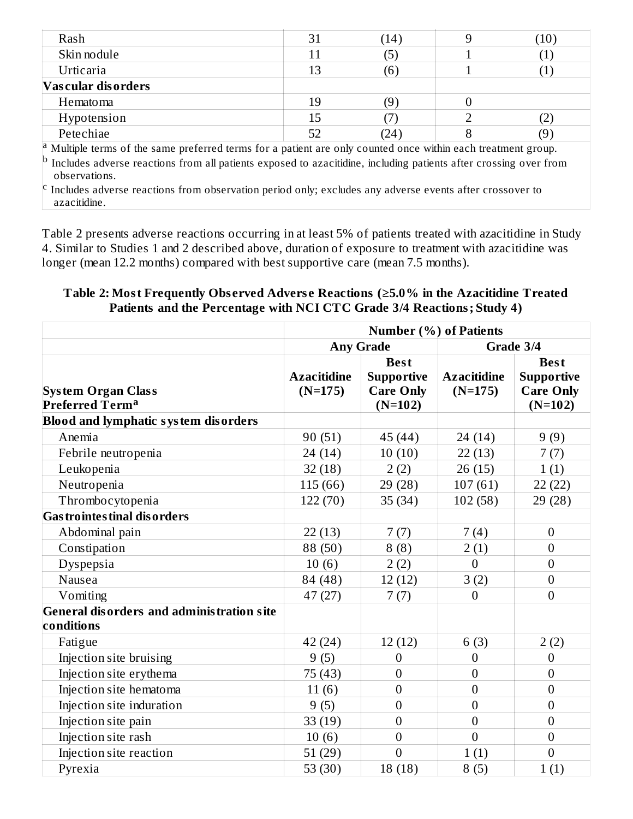| Rash                                                                                                                  | 31 | (14)        |  | (10) |  |
|-----------------------------------------------------------------------------------------------------------------------|----|-------------|--|------|--|
| Skin nodule                                                                                                           |    |             |  |      |  |
| Urticaria                                                                                                             |    | $6^{\circ}$ |  |      |  |
| Vascular disorders                                                                                                    |    |             |  |      |  |
| Hematoma                                                                                                              | 19 |             |  |      |  |
| Hypotension                                                                                                           |    |             |  |      |  |
| Petechiae                                                                                                             | 52 | 24)         |  | (9   |  |
| $\vert^a$ Multiple terms of the same preferred terms for a patient are only counted once within each treatment group. |    |             |  |      |  |

Includes adverse reactions from all patients exposed to azacitidine, including patients after crossing over from observations. b

Includes adverse reactions from observation period only; excludes any adverse events after crossover to azacitidine. c

Table 2 presents adverse reactions occurring in at least 5% of patients treated with azacitidine in Study 4. Similar to Studies 1 and 2 described above, duration of exposure to treatment with azacitidine was longer (mean 12.2 months) compared with best supportive care (mean 7.5 months).

#### **Table 2: Most Frequently Obs erved Advers e Reactions (≥5.0% in the Azacitidine Treated Patients and the Percentage with NCI CTC Grade 3/4 Reactions; Study 4)**

|                                                                | <b>Number (%) of Patients</b>   |                                                                   |                                 |                                                                   |
|----------------------------------------------------------------|---------------------------------|-------------------------------------------------------------------|---------------------------------|-------------------------------------------------------------------|
|                                                                |                                 | <b>Any Grade</b>                                                  | Grade 3/4                       |                                                                   |
| <b>System Organ Class</b><br>Preferred Term <sup>a</sup>       | <b>Azacitidine</b><br>$(N=175)$ | <b>Best</b><br><b>Supportive</b><br><b>Care Only</b><br>$(N=102)$ | <b>Azacitidine</b><br>$(N=175)$ | <b>Best</b><br><b>Supportive</b><br><b>Care Only</b><br>$(N=102)$ |
| <b>Blood and lymphatic system disorders</b>                    |                                 |                                                                   |                                 |                                                                   |
| Anemia                                                         | 90 (51)                         | 45 (44)                                                           | 24 (14)                         | 9(9)                                                              |
| Febrile neutropenia                                            | 24 (14)                         | 10(10)                                                            | 22(13)                          | 7(7)                                                              |
| Leukopenia                                                     | 32(18)                          | 2(2)                                                              | 26(15)                          | 1(1)                                                              |
| Neutropenia                                                    | 115 (66)                        | 29 (28)                                                           | 107(61)                         | 22(22)                                                            |
| Thrombocytopenia                                               | 122 (70)                        | 35(34)                                                            | 102 (58)                        | 29 (28)                                                           |
| <b>Gas trointes tinal dis orders</b>                           |                                 |                                                                   |                                 |                                                                   |
| Abdominal pain                                                 | 22(13)                          | 7(7)                                                              | 7(4)                            | $\overline{0}$                                                    |
| Constipation                                                   | 88 (50)                         | 8(8)                                                              | 2(1)                            | $\overline{0}$                                                    |
| Dyspepsia                                                      | 10(6)                           | 2(2)                                                              | $\Omega$                        | $\overline{0}$                                                    |
| Nausea                                                         | 84 (48)                         | 12(12)                                                            | 3(2)                            | $\mathbf{0}$                                                      |
| Vomiting                                                       | 47 (27)                         | 7(7)                                                              | $\theta$                        | $\overline{0}$                                                    |
| <b>General disorders and administration site</b><br>conditions |                                 |                                                                   |                                 |                                                                   |
| Fatigue                                                        | 42 (24)                         | 12(12)                                                            | 6(3)                            | 2(2)                                                              |
| Injection site bruising                                        | 9(5)                            | 0                                                                 | $\overline{0}$                  | $\overline{0}$                                                    |
| Injection site erythema                                        | 75 (43)                         | $\boldsymbol{0}$                                                  | $\boldsymbol{0}$                | $\mathbf{0}$                                                      |
| Injection site hematoma                                        | 11(6)                           | $\boldsymbol{0}$                                                  | $\boldsymbol{0}$                | $\mathbf{0}$                                                      |
| Injection site induration                                      | 9(5)                            | $\overline{0}$                                                    | $\overline{0}$                  | $\overline{0}$                                                    |
| Injection site pain                                            | 33(19)                          | $\overline{0}$                                                    | $\overline{0}$                  | $\overline{0}$                                                    |
| Injection site rash                                            | 10(6)                           | $\overline{0}$                                                    | $\overline{0}$                  | $\overline{0}$                                                    |
| Injection site reaction                                        | 51(29)                          | $\overline{0}$                                                    | 1(1)                            | $\overline{0}$                                                    |
| Pyrexia                                                        | 53 $(30)$                       | 18(18)                                                            | 8(5)                            | 1(1)                                                              |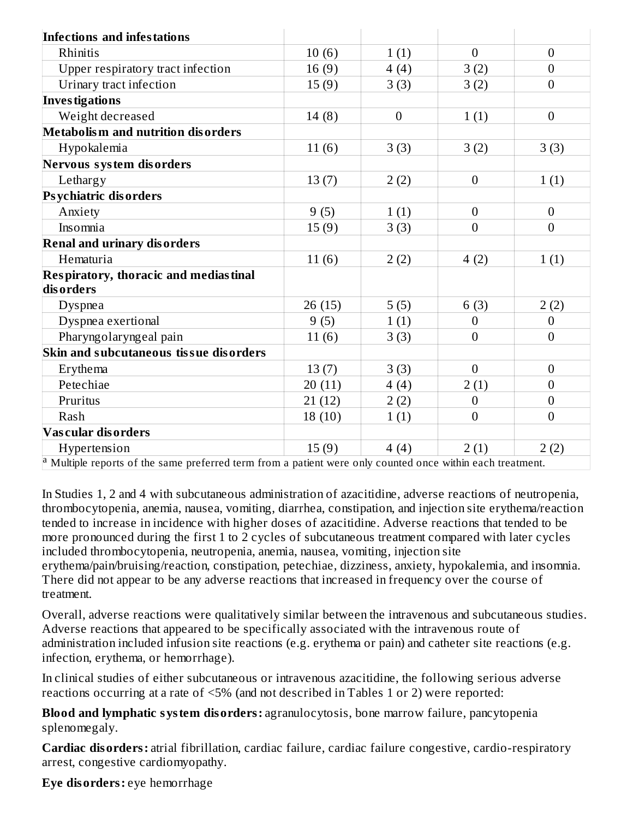| <b>Infections and infestations</b>                                                                                    |        |                  |                  |                  |
|-----------------------------------------------------------------------------------------------------------------------|--------|------------------|------------------|------------------|
| Rhinitis                                                                                                              | 10(6)  | 1(1)             | $\mathbf{0}$     | $\overline{0}$   |
| Upper respiratory tract infection                                                                                     | 16(9)  | 4(4)             | 3(2)             | $\boldsymbol{0}$ |
| Urinary tract infection                                                                                               | 15(9)  | 3(3)             | 3(2)             | $\overline{0}$   |
| <b>Investigations</b>                                                                                                 |        |                  |                  |                  |
| Weight decreased                                                                                                      | 14(8)  | $\boldsymbol{0}$ | 1(1)             | $\overline{0}$   |
| <b>Metabolism and nutrition disorders</b>                                                                             |        |                  |                  |                  |
| Hypokalemia                                                                                                           | 11(6)  | 3(3)             | 3(2)             | 3(3)             |
| Nervous system disorders                                                                                              |        |                  |                  |                  |
| Lethargy                                                                                                              | 13(7)  | 2(2)             | $\boldsymbol{0}$ | 1(1)             |
| Psychiatric disorders                                                                                                 |        |                  |                  |                  |
| Anxiety                                                                                                               | 9(5)   | 1(1)             | $\overline{0}$   | $\boldsymbol{0}$ |
| Insomnia                                                                                                              | 15(9)  | 3(3)             | $\overline{0}$   | $\overline{0}$   |
| <b>Renal and urinary disorders</b>                                                                                    |        |                  |                  |                  |
| Hematuria                                                                                                             | 11(6)  | 2(2)             | 4(2)             | 1(1)             |
| Respiratory, thoracic and mediastinal                                                                                 |        |                  |                  |                  |
| disorders                                                                                                             |        |                  |                  |                  |
| <b>Dyspnea</b>                                                                                                        | 26(15) | 5(5)             | 6(3)             | 2(2)             |
| Dyspnea exertional                                                                                                    | 9(5)   | 1(1)             | $\overline{0}$   | $\boldsymbol{0}$ |
| Pharyngolaryngeal pain                                                                                                | 11(6)  | 3(3)             | $\Omega$         | $\overline{0}$   |
| Skin and subcutaneous tissue disorders                                                                                |        |                  |                  |                  |
| Erythema                                                                                                              | 13(7)  | 3(3)             | $\overline{0}$   | $\boldsymbol{0}$ |
| Petechiae                                                                                                             | 20(11) | 4(4)             | 2(1)             | $\overline{0}$   |
| Pruritus                                                                                                              | 21(12) | 2(2)             | $\overline{0}$   | $\overline{0}$   |
| Rash                                                                                                                  | 18(10) | 1(1)             | $\boldsymbol{0}$ | $\overline{0}$   |
| Vascular disorders                                                                                                    |        |                  |                  |                  |
| Hypertension                                                                                                          | 15(9)  | 4(4)             | 2(1)             | 2(2)             |
| <sup>a</sup> Multiple reports of the same preferred term from a patient were only counted once within each treatment. |        |                  |                  |                  |

In Studies 1, 2 and 4 with subcutaneous administration of azacitidine, adverse reactions of neutropenia, thrombocytopenia, anemia, nausea, vomiting, diarrhea, constipation, and injection site erythema/reaction tended to increase in incidence with higher doses of azacitidine. Adverse reactions that tended to be more pronounced during the first 1 to 2 cycles of subcutaneous treatment compared with later cycles included thrombocytopenia, neutropenia, anemia, nausea, vomiting, injection site erythema/pain/bruising/reaction, constipation, petechiae, dizziness, anxiety, hypokalemia, and insomnia. There did not appear to be any adverse reactions that increased in frequency over the course of treatment.

Overall, adverse reactions were qualitatively similar between the intravenous and subcutaneous studies. Adverse reactions that appeared to be specifically associated with the intravenous route of administration included infusion site reactions (e.g. erythema or pain) and catheter site reactions (e.g. infection, erythema, or hemorrhage).

In clinical studies of either subcutaneous or intravenous azacitidine, the following serious adverse reactions occurring at a rate of <5% (and not described in Tables 1 or 2) were reported:

**Blood and lymphatic system disorders:** agranulocytosis, bone marrow failure, pancytopenia splenomegaly.

**Cardiac disorders:** atrial fibrillation, cardiac failure, cardiac failure congestive, cardio-respiratory arrest, congestive cardiomyopathy.

**Eye disorders:** eye hemorrhage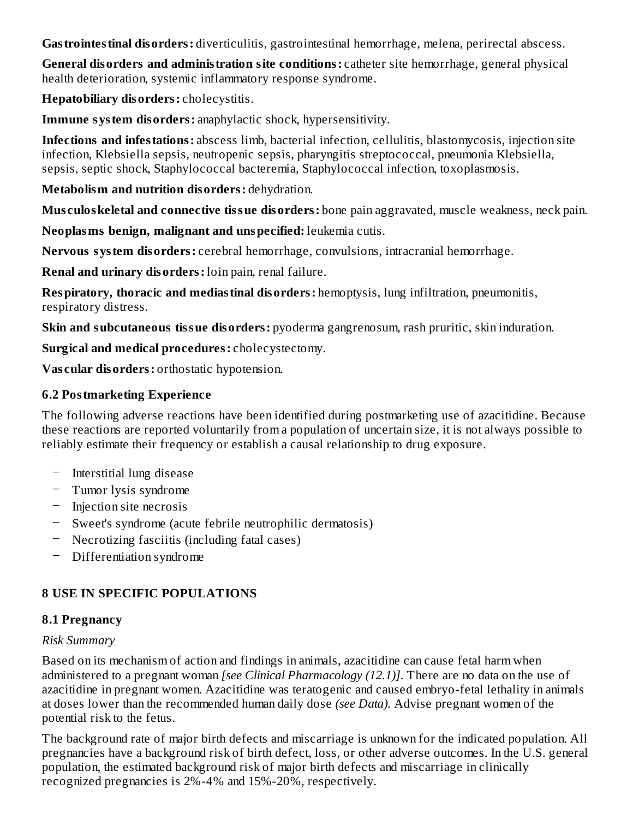**Gastrointestinal disorders:** diverticulitis, gastrointestinal hemorrhage, melena, perirectal abscess.

**General disorders and administration site conditions:** catheter site hemorrhage, general physical health deterioration, systemic inflammatory response syndrome.

**Hepatobiliary disorders:** cholecystitis.

**Immune system disorders:** anaphylactic shock, hypersensitivity.

**Infections and infestations:** abscess limb, bacterial infection, cellulitis, blastomycosis, injection site infection, Klebsiella sepsis, neutropenic sepsis, pharyngitis streptococcal, pneumonia Klebsiella, sepsis, septic shock, Staphylococcal bacteremia, Staphylococcal infection, toxoplasmosis.

**Metabolism and nutrition disorders:** dehydration.

**Mus culoskeletal and connective tissue disorders:** bone pain aggravated, muscle weakness, neck pain.

**Neoplasms benign, malignant and unspecified:** leukemia cutis.

**Nervous system disorders:** cerebral hemorrhage, convulsions, intracranial hemorrhage.

**Renal and urinary disorders:** loin pain, renal failure.

**Respiratory, thoracic and mediastinal disorders:** hemoptysis, lung infiltration, pneumonitis, respiratory distress.

**Skin and subcutaneous tissue disorders:** pyoderma gangrenosum, rash pruritic, skin induration.

**Surgical and medical procedures:** cholecystectomy.

**Vas cular disorders:** orthostatic hypotension.

## **6.2 Postmarketing Experience**

The following adverse reactions have been identified during postmarketing use of azacitidine. Because these reactions are reported voluntarily from a population of uncertain size, it is not always possible to reliably estimate their frequency or establish a causal relationship to drug exposure.

- Interstitial lung disease
- Tumor lysis syndrome
- Injection site necrosis
- Sweet's syndrome (acute febrile neutrophilic dermatosis)
- Necrotizing fasciitis (including fatal cases)
- Differentiation syndrome

# **8 USE IN SPECIFIC POPULATIONS**

## **8.1 Pregnancy**

## *Risk Summary*

Based on its mechanism of action and findings in animals, azacitidine can cause fetal harm when administered to a pregnant woman *[see Clinical Pharmacology (12.1)]*. There are no data on the use of azacitidine in pregnant women. Azacitidine was teratogenic and caused embryo-fetal lethality in animals at doses lower than the recommended human daily dose *(see Data).* Advise pregnant women of the potential risk to the fetus.

The background rate of major birth defects and miscarriage is unknown for the indicated population. All pregnancies have a background risk of birth defect, loss, or other adverse outcomes. In the U.S. general population, the estimated background risk of major birth defects and miscarriage in clinically recognized pregnancies is 2%-4% and 15%-20%, respectively.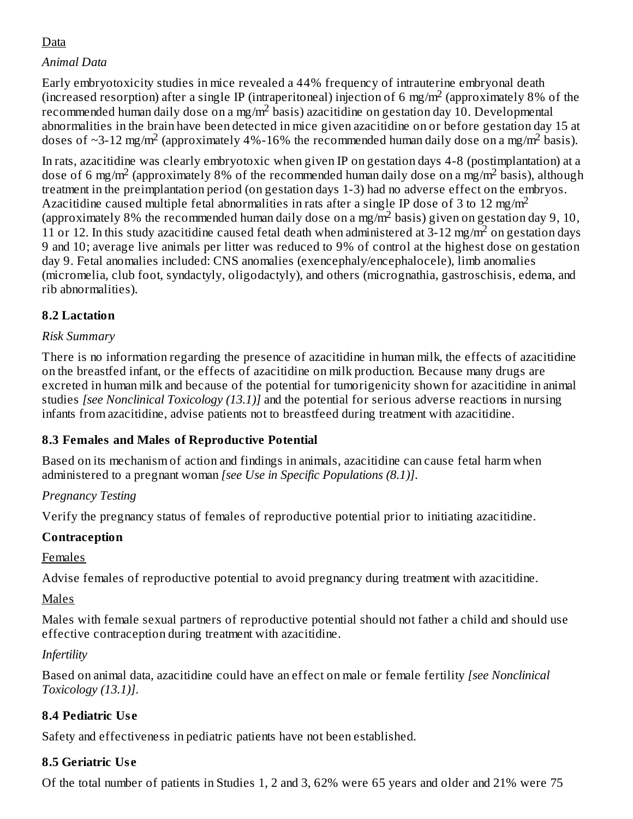# Data

## *Animal Data*

Early embryotoxicity studies in mice revealed a 44% frequency of intrauterine embryonal death (increased resorption) after a single IP (intraperitoneal) injection of 6 mg/m<sup>2</sup> (approximately 8% of the recommended human daily dose on a mg/m<sup>2</sup> basis) azacitidine on gestation day 10. Developmental abnormalities in the brain have been detected in mice given azacitidine on or before gestation day 15 at doses of ~3-12 mg/m<sup>2</sup> (approximately 4%-16% the recommended human daily dose on a mg/m<sup>2</sup> basis).

In rats, azacitidine was clearly embryotoxic when given IP on gestation days 4-8 (postimplantation) at a dose of 6 mg/m<sup>2</sup> (approximately 8% of the recommended human daily dose on a mg/m<sup>2</sup> basis), although treatment in the preimplantation period (on gestation days 1-3) had no adverse effect on the embryos. Azacitidine caused multiple fetal abnormalities in rats after a single IP dose of 3 to 12 mg/m<sup>2</sup> (approximately 8% the recommended human daily dose on a mg/m<sup>2</sup> basis) given on gestation day 9, 10, 11 or 12. In this study azacitidine caused fetal death when administered at  $3-12$  mg/m<sup>2</sup> on gestation days 9 and 10; average live animals per litter was reduced to 9% of control at the highest dose on gestation day 9. Fetal anomalies included: CNS anomalies (exencephaly/encephalocele), limb anomalies (micromelia, club foot, syndactyly, oligodactyly), and others (micrognathia, gastroschisis, edema, and rib abnormalities).

## **8.2 Lactation**

### *Risk Summary*

There is no information regarding the presence of azacitidine in human milk, the effects of azacitidine on the breastfed infant, or the effects of azacitidine on milk production. Because many drugs are excreted in human milk and because of the potential for tumorigenicity shown for azacitidine in animal studies *[see Nonclinical Toxicology (13.1)]* and the potential for serious adverse reactions in nursing infants from azacitidine, advise patients not to breastfeed during treatment with azacitidine.

## **8.3 Females and Males of Reproductive Potential**

Based on its mechanism of action and findings in animals, azacitidine can cause fetal harm when administered to a pregnant woman *[see Use in Specific Populations (8.1)]*.

## *Pregnancy Testing*

Verify the pregnancy status of females of reproductive potential prior to initiating azacitidine.

## **Contraception**

Females

Advise females of reproductive potential to avoid pregnancy during treatment with azacitidine.

## Males

Males with female sexual partners of reproductive potential should not father a child and should use effective contraception during treatment with azacitidine.

## *Infertility*

Based on animal data, azacitidine could have an effect on male or female fertility *[see Nonclinical Toxicology (13.1)]*.

## **8.4 Pediatric Us e**

Safety and effectiveness in pediatric patients have not been established.

## **8.5 Geriatric Us e**

Of the total number of patients in Studies 1, 2 and 3, 62% were 65 years and older and 21% were 75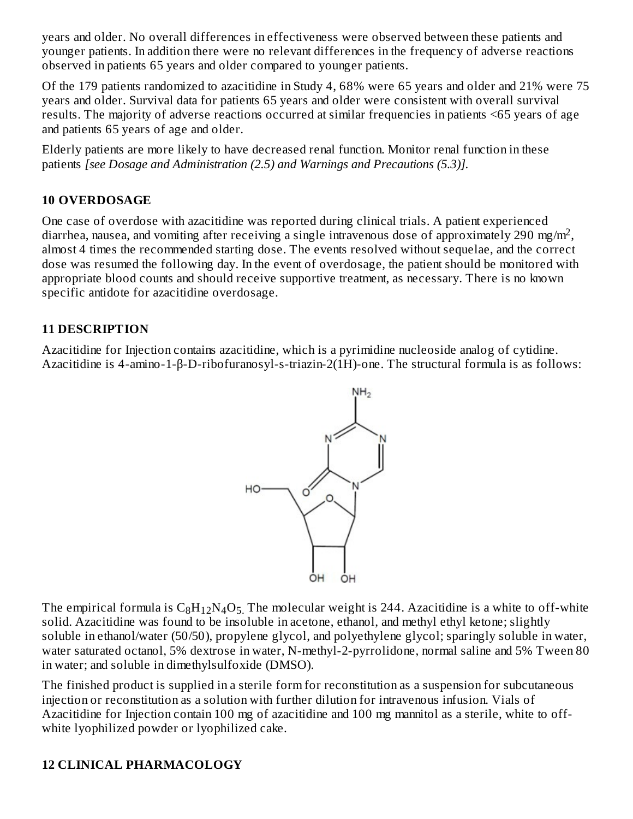years and older. No overall differences in effectiveness were observed between these patients and younger patients. In addition there were no relevant differences in the frequency of adverse reactions observed in patients 65 years and older compared to younger patients.

Of the 179 patients randomized to azacitidine in Study 4, 68% were 65 years and older and 21% were 75 years and older. Survival data for patients 65 years and older were consistent with overall survival results. The majority of adverse reactions occurred at similar frequencies in patients <65 years of age and patients 65 years of age and older.

Elderly patients are more likely to have decreased renal function. Monitor renal function in these patients *[see Dosage and Administration (2.5) and Warnings and Precautions (5.3)].*

### **10 OVERDOSAGE**

One case of overdose with azacitidine was reported during clinical trials. A patient experienced diarrhea, nausea, and vomiting after receiving a single intravenous dose of approximately 290 mg/m<sup>2</sup>, almost 4 times the recommended starting dose. The events resolved without sequelae, and the correct dose was resumed the following day. In the event of overdosage, the patient should be monitored with appropriate blood counts and should receive supportive treatment, as necessary. There is no known specific antidote for azacitidine overdosage.

### **11 DESCRIPTION**

Azacitidine for Injection contains azacitidine, which is a pyrimidine nucleoside analog of cytidine. Azacitidine is 4-amino-1-β-D-ribofuranosyl-s-triazin-2(1H)-one. The structural formula is as follows:



The empirical formula is  $\rm{C_8H_{12}N_4O_5}$  . The molecular weight is 244. Azacitidine is a white to off-white solid. Azacitidine was found to be insoluble in acetone, ethanol, and methyl ethyl ketone; slightly soluble in ethanol/water (50/50), propylene glycol, and polyethylene glycol; sparingly soluble in water, water saturated octanol, 5% dextrose in water, N-methyl-2-pyrrolidone, normal saline and 5% Tween 80 in water; and soluble in dimethylsulfoxide (DMSO).

The finished product is supplied in a sterile form for reconstitution as a suspension for subcutaneous injection or reconstitution as a solution with further dilution for intravenous infusion. Vials of Azacitidine for Injection contain 100 mg of azacitidine and 100 mg mannitol as a sterile, white to offwhite lyophilized powder or lyophilized cake.

# **12 CLINICAL PHARMACOLOGY**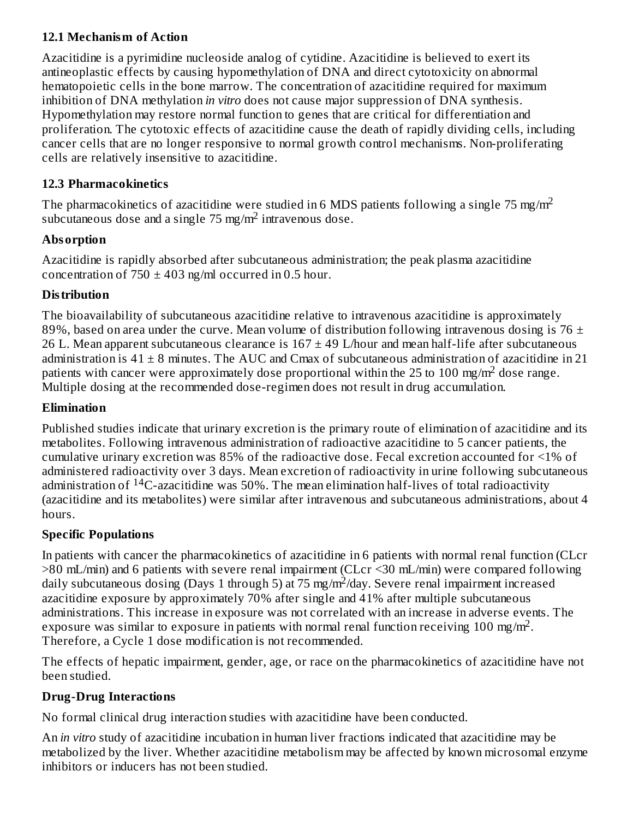## **12.1 Mechanism of Action**

Azacitidine is a pyrimidine nucleoside analog of cytidine. Azacitidine is believed to exert its antineoplastic effects by causing hypomethylation of DNA and direct cytotoxicity on abnormal hematopoietic cells in the bone marrow. The concentration of azacitidine required for maximum inhibition of DNA methylation *in vitro* does not cause major suppression of DNA synthesis. Hypomethylation may restore normal function to genes that are critical for differentiation and proliferation. The cytotoxic effects of azacitidine cause the death of rapidly dividing cells, including cancer cells that are no longer responsive to normal growth control mechanisms. Non-proliferating cells are relatively insensitive to azacitidine.

### **12.3 Pharmacokinetics**

The pharmacokinetics of azacitidine were studied in 6 MDS patients following a single 75 mg/m<sup>2</sup> subcutaneous dose and a single  $75 \text{ mg/m}^2$  intravenous dose.

### **Absorption**

Azacitidine is rapidly absorbed after subcutaneous administration; the peak plasma azacitidine concentration of  $750 \pm 403$  ng/ml occurred in 0.5 hour.

### **Distribution**

The bioavailability of subcutaneous azacitidine relative to intravenous azacitidine is approximately 89%, based on area under the curve. Mean volume of distribution following intravenous dosing is 76  $\pm$ 26 L. Mean apparent subcutaneous clearance is  $167 \pm 49$  L/hour and mean half-life after subcutaneous administration is  $41 \pm 8$  minutes. The AUC and Cmax of subcutaneous administration of azacitidine in 21 patients with cancer were approximately dose proportional within the 25 to 100 mg/m<sup>2</sup> dose range. Multiple dosing at the recommended dose-regimen does not result in drug accumulation.

### **Elimination**

Published studies indicate that urinary excretion is the primary route of elimination of azacitidine and its metabolites. Following intravenous administration of radioactive azacitidine to 5 cancer patients, the cumulative urinary excretion was 85% of the radioactive dose. Fecal excretion accounted for <1% of administered radioactivity over 3 days. Mean excretion of radioactivity in urine following subcutaneous administration of <sup>14</sup>C-azacitidine was 50%. The mean elimination half-lives of total radioactivity (azacitidine and its metabolites) were similar after intravenous and subcutaneous administrations, about 4 hours.

## **Specific Populations**

In patients with cancer the pharmacokinetics of azacitidine in 6 patients with normal renal function (CLcr >80 mL/min) and 6 patients with severe renal impairment (CLcr <30 mL/min) were compared following daily subcutaneous dosing (Days 1 through 5) at 75 mg/m<sup>2</sup>/day. Severe renal impairment increased azacitidine exposure by approximately 70% after single and 41% after multiple subcutaneous administrations. This increase in exposure was not correlated with an increase in adverse events. The exposure was similar to exposure in patients with normal renal function receiving 100 mg/m<sup>2</sup>. Therefore, a Cycle 1 dose modification is not recommended.

The effects of hepatic impairment, gender, age, or race on the pharmacokinetics of azacitidine have not been studied.

## **Drug-Drug Interactions**

No formal clinical drug interaction studies with azacitidine have been conducted.

An *in vitro* study of azacitidine incubation in human liver fractions indicated that azacitidine may be metabolized by the liver. Whether azacitidine metabolism may be affected by known microsomal enzyme inhibitors or inducers has not been studied.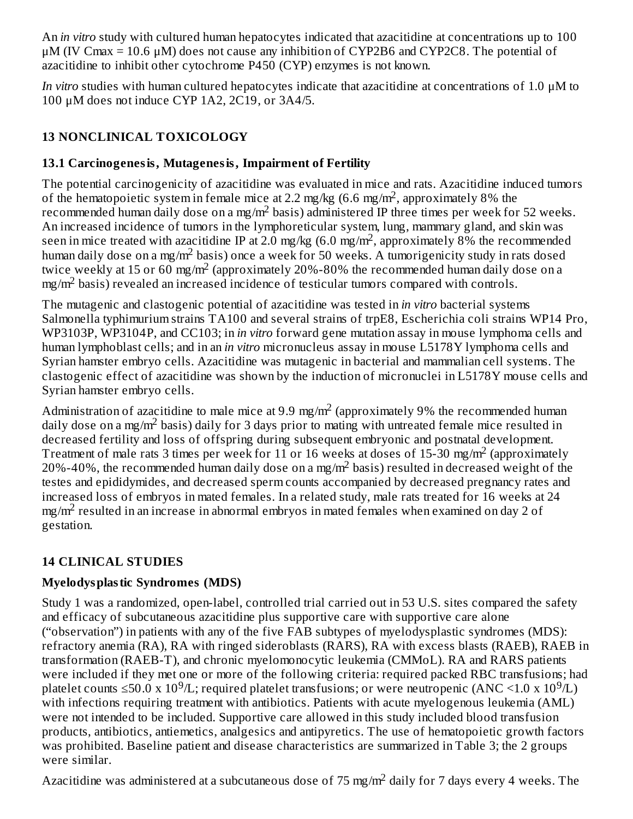An *in vitro* study with cultured human hepatocytes indicated that azacitidine at concentrations up to 100  $\mu$ M (IV Cmax = 10.6  $\mu$ M) does not cause any inhibition of CYP2B6 and CYP2C8. The potential of azacitidine to inhibit other cytochrome P450 (CYP) enzymes is not known.

*In vitro* studies with human cultured hepatocytes indicate that azacitidine at concentrations of 1.0 μM to 100 μM does not induce CYP 1A2, 2C19, or 3A4/5.

# **13 NONCLINICAL TOXICOLOGY**

# **13.1 Carcinogenesis, Mutagenesis, Impairment of Fertility**

The potential carcinogenicity of azacitidine was evaluated in mice and rats. Azacitidine induced tumors of the hematopoietic system in female mice at 2.2 mg/kg  $(6.6 \text{ mg/m}^2)$ , approximately 8% the recommended human daily dose on a mg/m<sup>2</sup> basis) administered IP three times per week for 52 weeks. An increased incidence of tumors in the lymphoreticular system, lung, mammary gland, and skin was seen in mice treated with azacitidine IP at 2.0 mg/kg (6.0 mg/m<sup>2</sup>, approximately 8% the recommended human daily dose on a mg/m<sup>2</sup> basis) once a week for 50 weeks. A tumorigenicity study in rats dosed twice weekly at 15 or 60 mg/m<sup>2</sup> (approximately 20%-80% the recommended human daily dose on a mg/m<sup>2</sup> basis) revealed an increased incidence of testicular tumors compared with controls.

The mutagenic and clastogenic potential of azacitidine was tested in *in vitro* bacterial systems Salmonella typhimurium strains TA100 and several strains of trpE8, Escherichia coli strains WP14 Pro, WP3103P, WP3104P, and CC103; in *in vitro* forward gene mutation assay in mouse lymphoma cells and human lymphoblast cells; and in an *in vitro* micronucleus assay in mouse L5178Y lymphoma cells and Syrian hamster embryo cells. Azacitidine was mutagenic in bacterial and mammalian cell systems. The clastogenic effect of azacitidine was shown by the induction of micronuclei in L5178Y mouse cells and Syrian hamster embryo cells.

Administration of azacitidine to male mice at 9.9 mg/m<sup>2</sup> (approximately 9% the recommended human daily dose on a mg/m<sup>2</sup> basis) daily for 3 days prior to mating with untreated female mice resulted in decreased fertility and loss of offspring during subsequent embryonic and postnatal development. Treatment of male rats 3 times per week for 11 or 16 weeks at doses of 15-30 mg/m<sup>2</sup> (approximately 20%-40%, the recommended human daily dose on a mg/m<sup>2</sup> basis) resulted in decreased weight of the testes and epididymides, and decreased sperm counts accompanied by decreased pregnancy rates and increased loss of embryos in mated females. In a related study, male rats treated for 16 weeks at 24 mg/m $^2$  resulted in an increase in abnormal embryos in mated females when examined on day 2 of gestation.

# **14 CLINICAL STUDIES**

# **Myelodysplastic Syndromes (MDS)**

Study 1 was a randomized, open-label, controlled trial carried out in 53 U.S. sites compared the safety and efficacy of subcutaneous azacitidine plus supportive care with supportive care alone ("observation") in patients with any of the five FAB subtypes of myelodysplastic syndromes (MDS): refractory anemia (RA), RA with ringed sideroblasts (RARS), RA with excess blasts (RAEB), RAEB in transformation (RAEB-T), and chronic myelomonocytic leukemia (CMMoL). RA and RARS patients were included if they met one or more of the following criteria: required packed RBC transfusions; had platelet counts  $\leq$ 50.0 x 10<sup>9</sup>/L; required platelet transfusions; or were neutropenic (ANC <1.0 x 10<sup>9</sup>/L) with infections requiring treatment with antibiotics. Patients with acute myelogenous leukemia (AML) were not intended to be included. Supportive care allowed in this study included blood transfusion products, antibiotics, antiemetics, analgesics and antipyretics. The use of hematopoietic growth factors was prohibited. Baseline patient and disease characteristics are summarized in Table 3; the 2 groups were similar.

Azacitidine was administered at a subcutaneous dose of 75 mg/m<sup>2</sup> daily for 7 days every 4 weeks. The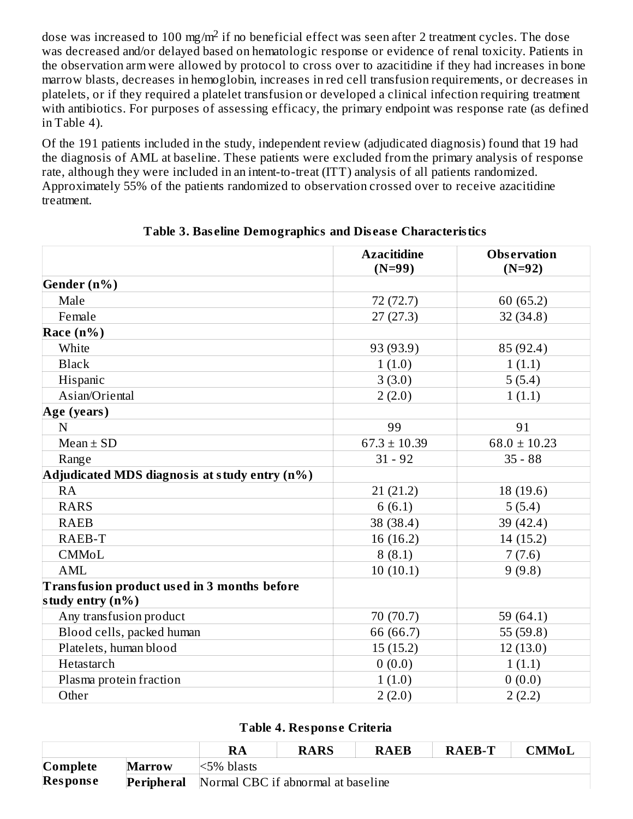dose was increased to 100 mg/m $^2$  if no beneficial effect was seen after 2 treatment cycles. The dose was decreased and/or delayed based on hematologic response or evidence of renal toxicity. Patients in the observation arm were allowed by protocol to cross over to azacitidine if they had increases in bone marrow blasts, decreases in hemoglobin, increases in red cell transfusion requirements, or decreases in platelets, or if they required a platelet transfusion or developed a clinical infection requiring treatment with antibiotics. For purposes of assessing efficacy, the primary endpoint was response rate (as defined in Table 4).

Of the 191 patients included in the study, independent review (adjudicated diagnosis) found that 19 had the diagnosis of AML at baseline. These patients were excluded from the primary analysis of response rate, although they were included in an intent-to-treat (ITT) analysis of all patients randomized. Approximately 55% of the patients randomized to observation crossed over to receive azacitidine treatment.

|                                                                 | <b>Azacitidine</b><br>$(N=99)$ | <b>Observation</b><br>$(N=92)$ |
|-----------------------------------------------------------------|--------------------------------|--------------------------------|
| Gender (n%)                                                     |                                |                                |
| Male                                                            | 72 (72.7)                      | 60 (65.2)                      |
| Female                                                          | 27(27.3)                       | 32(34.8)                       |
| Race $(n\%)$                                                    |                                |                                |
| White                                                           | 93 (93.9)                      | 85 (92.4)                      |
| <b>Black</b>                                                    | 1(1.0)                         | 1(1.1)                         |
| Hispanic                                                        | 3(3.0)                         | 5(5.4)                         |
| Asian/Oriental                                                  | 2(2.0)                         | 1(1.1)                         |
| Age (years)                                                     |                                |                                |
| N                                                               | 99                             | 91                             |
| $Mean \pm SD$                                                   | $67.3 \pm 10.39$               | $68.0 \pm 10.23$               |
| Range                                                           | $31 - 92$                      | $35 - 88$                      |
| Adjudicated MDS diagnosis at study entry (n%)                   |                                |                                |
| RA                                                              | 21(21.2)                       | 18(19.6)                       |
| <b>RARS</b>                                                     | 6(6.1)                         | 5(5.4)                         |
| <b>RAEB</b>                                                     | 38 (38.4)                      | 39 (42.4)                      |
| RAEB-T                                                          | 16 (16.2)                      | 14(15.2)                       |
| CMMoL                                                           | 8(8.1)                         | 7(7.6)                         |
| <b>AML</b>                                                      | 10(10.1)                       | 9(9.8)                         |
| Transfusion product used in 3 months before<br>study entry (n%) |                                |                                |
| Any transfusion product                                         | 70 (70.7)                      | 59 (64.1)                      |
| Blood cells, packed human                                       | 66 (66.7)                      | 55 (59.8)                      |
| Platelets, human blood                                          | 15(15.2)                       | 12(13.0)                       |
| Hetastarch                                                      | 0(0.0)                         | 1(1.1)                         |
| Plasma protein fraction                                         | 1(1.0)                         | 0(0.0)                         |
| Other                                                           | 2(2.0)                         | 2(2.2)                         |

**Table 3. Bas eline Demographics and Dis eas e Characteristics**

| Table 4. Response Criteria |  |
|----------------------------|--|
|----------------------------|--|

|                                |               | RA                                 | <b>RARS</b> | <b>RAEB</b> | <b>RAEB-T</b> | CMMoL |
|--------------------------------|---------------|------------------------------------|-------------|-------------|---------------|-------|
| $\mathbf{\mathbf{[Complete]}}$ | <b>Marrow</b> | $\leq$ 5% blasts                   |             |             |               |       |
| <b>Response</b>                | Peripheral    | Normal CBC if abnormal at baseline |             |             |               |       |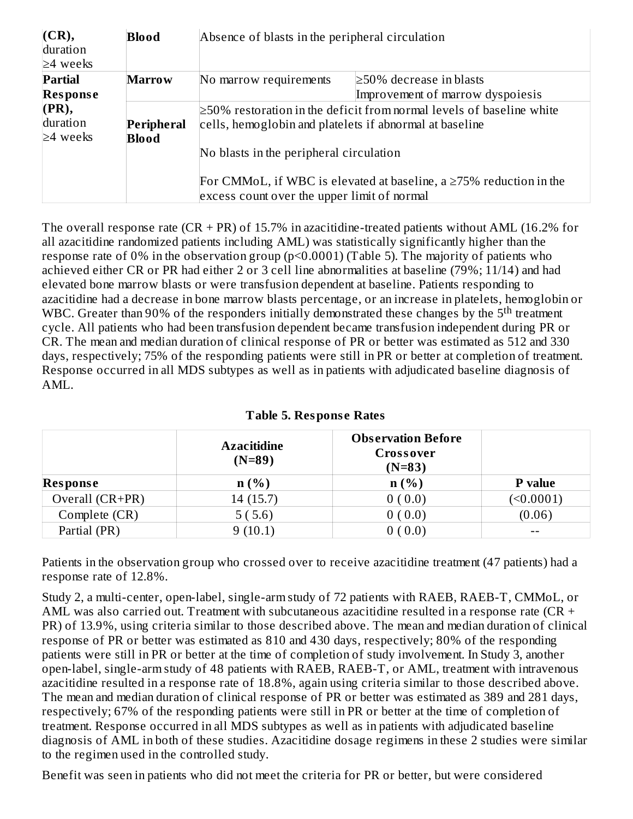| (CR),<br>duration<br>$\geq$ 4 weeks | <b>Blood</b>  | Absence of blasts in the peripheral circulation                            |                                  |  |
|-------------------------------------|---------------|----------------------------------------------------------------------------|----------------------------------|--|
| Partial                             | <b>Marrow</b> | No marrow requirements                                                     | $\geq$ 50% decrease in blasts    |  |
| <b>Response</b>                     |               |                                                                            | Improvement of marrow dyspoiesis |  |
| $(\mathbf{PR}),$                    |               | $\geq$ 50% restoration in the deficit from normal levels of baseline white |                                  |  |
| duration                            | Peripheral    | cells, hemoglobin and platelets if abnormal at baseline                    |                                  |  |
| $\geq 4$ weeks                      | <b>Blood</b>  |                                                                            |                                  |  |
|                                     |               | No blasts in the peripheral circulation                                    |                                  |  |
|                                     |               | For CMMoL, if WBC is elevated at baseline, a $\geq$ 75% reduction in the   |                                  |  |
|                                     |               | excess count over the upper limit of normal                                |                                  |  |

The overall response rate  $(CR + PR)$  of 15.7% in azacitidine-treated patients without AML (16.2% for all azacitidine randomized patients including AML) was statistically significantly higher than the response rate of 0% in the observation group (p<0.0001) (Table 5). The majority of patients who achieved either CR or PR had either 2 or 3 cell line abnormalities at baseline (79%; 11/14) and had elevated bone marrow blasts or were transfusion dependent at baseline. Patients responding to azacitidine had a decrease in bone marrow blasts percentage, or an increase in platelets, hemoglobin or WBC. Greater than 90% of the responders initially demonstrated these changes by the  $5<sup>th</sup>$  treatment cycle. All patients who had been transfusion dependent became transfusion independent during PR or CR. The mean and median duration of clinical response of PR or better was estimated as 512 and 330 days, respectively; 75% of the responding patients were still in PR or better at completion of treatment. Response occurred in all MDS subtypes as well as in patients with adjudicated baseline diagnosis of AML.

|                 | <b>Azacitidine</b><br>$(N=89)$ | <b>Observation Before</b><br>Crossover<br>$(N=83)$ |                |
|-----------------|--------------------------------|----------------------------------------------------|----------------|
| <b>Response</b> | n(%)                           | n(%)                                               | <b>P</b> value |
| Overall (CR+PR) | 14 (15.7)                      | 0(0.0)                                             | (50.0001)      |
| Complete (CR)   | 5(5.6)                         | 0(0.0)                                             | (0.06)         |
| Partial (PR)    | 9(10.1)                        | (0.0)                                              |                |

### **Table 5. Respons e Rates**

Patients in the observation group who crossed over to receive azacitidine treatment (47 patients) had a response rate of 12.8%.

Study 2, a multi-center, open-label, single-arm study of 72 patients with RAEB, RAEB-T, CMMoL, or AML was also carried out. Treatment with subcutaneous azacitidine resulted in a response rate ( $CR +$ PR) of 13.9%, using criteria similar to those described above. The mean and median duration of clinical response of PR or better was estimated as 810 and 430 days, respectively; 80% of the responding patients were still in PR or better at the time of completion of study involvement. In Study 3, another open-label, single-arm study of 48 patients with RAEB, RAEB-T, or AML, treatment with intravenous azacitidine resulted in a response rate of 18.8%, again using criteria similar to those described above. The mean and median duration of clinical response of PR or better was estimated as 389 and 281 days, respectively; 67% of the responding patients were still in PR or better at the time of completion of treatment. Response occurred in all MDS subtypes as well as in patients with adjudicated baseline diagnosis of AML in both of these studies. Azacitidine dosage regimens in these 2 studies were similar to the regimen used in the controlled study.

Benefit was seen in patients who did not meet the criteria for PR or better, but were considered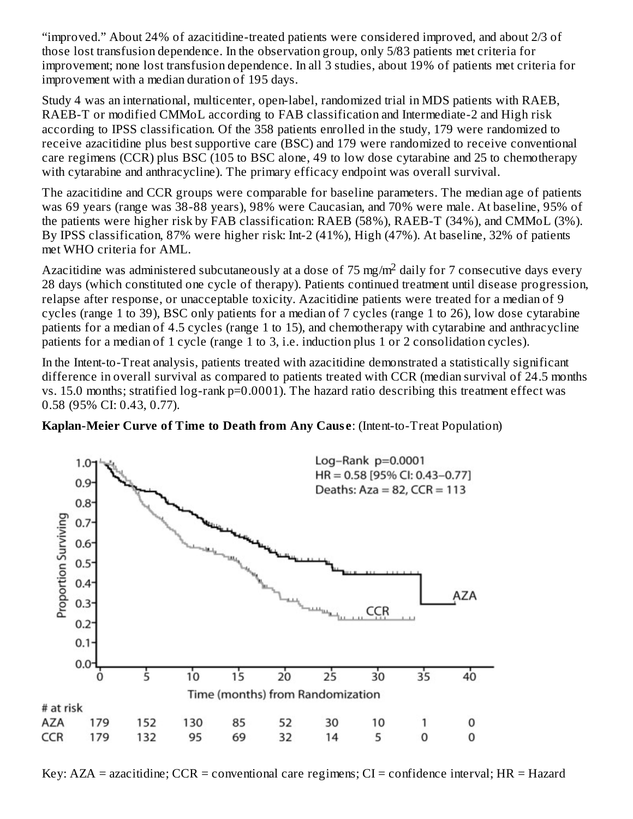"improved." About 24% of azacitidine-treated patients were considered improved, and about 2/3 of those lost transfusion dependence. In the observation group, only 5/83 patients met criteria for improvement; none lost transfusion dependence. In all 3 studies, about 19% of patients met criteria for improvement with a median duration of 195 days.

Study 4 was an international, multicenter, open-label, randomized trial in MDS patients with RAEB, RAEB-T or modified CMMoL according to FAB classification and Intermediate-2 and High risk according to IPSS classification. Of the 358 patients enrolled in the study, 179 were randomized to receive azacitidine plus best supportive care (BSC) and 179 were randomized to receive conventional care regimens (CCR) plus BSC (105 to BSC alone, 49 to low dose cytarabine and 25 to chemotherapy with cytarabine and anthracycline). The primary efficacy endpoint was overall survival.

The azacitidine and CCR groups were comparable for baseline parameters. The median age of patients was 69 years (range was 38-88 years), 98% were Caucasian, and 70% were male. At baseline, 95% of the patients were higher risk by FAB classification: RAEB (58%), RAEB-T (34%), and CMMoL (3%). By IPSS classification, 87% were higher risk: Int-2 (41%), High (47%). At baseline, 32% of patients met WHO criteria for AML.

Azacitidine was administered subcutaneously at a dose of 75 mg/m<sup>2</sup> daily for 7 consecutive days every 28 days (which constituted one cycle of therapy). Patients continued treatment until disease progression, relapse after response, or unacceptable toxicity. Azacitidine patients were treated for a median of 9 cycles (range 1 to 39), BSC only patients for a median of 7 cycles (range 1 to 26), low dose cytarabine patients for a median of 4.5 cycles (range 1 to 15), and chemotherapy with cytarabine and anthracycline patients for a median of 1 cycle (range 1 to 3, i.e. induction plus 1 or 2 consolidation cycles).

In the Intent-to-Treat analysis, patients treated with azacitidine demonstrated a statistically significant difference in overall survival as compared to patients treated with CCR (median survival of 24.5 months vs. 15.0 months; stratified log-rank p=0.0001). The hazard ratio describing this treatment effect was 0.58 (95% CI: 0.43, 0.77).





Key:  $AZA =$  azacitidine;  $CCR =$  conventional care regimens;  $CI =$  confidence interval;  $HR =$  Hazard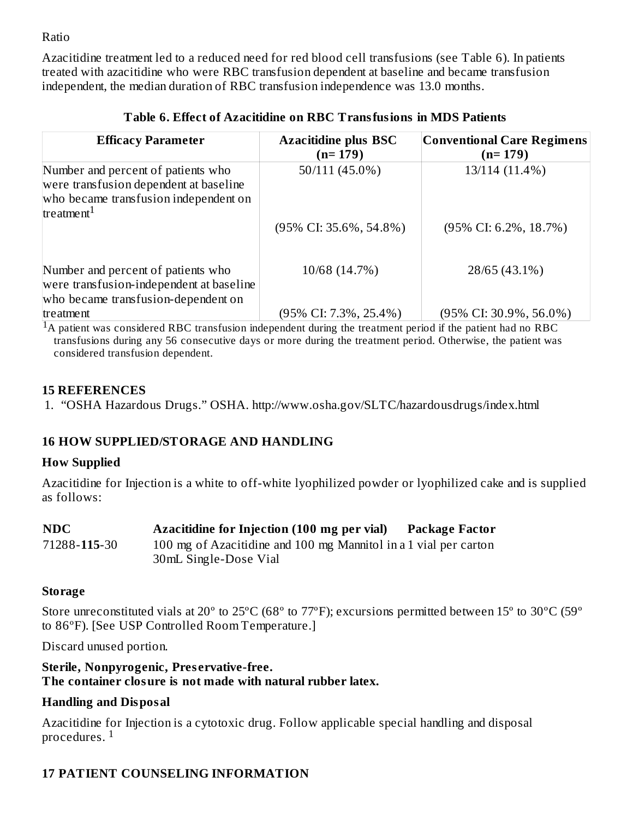Ratio

Azacitidine treatment led to a reduced need for red blood cell transfusions (see Table 6). In patients treated with azacitidine who were RBC transfusion dependent at baseline and became transfusion independent, the median duration of RBC transfusion independence was 13.0 months.

| <b>Efficacy Parameter</b>                                                                                                                       | <b>Azacitidine plus BSC</b><br>$(n=179)$ | <b>Conventional Care Regimens</b><br>$(n=179)$ |
|-------------------------------------------------------------------------------------------------------------------------------------------------|------------------------------------------|------------------------------------------------|
| Number and percent of patients who<br>were transfusion dependent at baseline<br>who became transfusion independent on<br>treatment <sup>1</sup> | 50/111 (45.0%)                           | 13/114 (11.4%)                                 |
|                                                                                                                                                 | $(95\% \text{ CI: } 35.6\%, 54.8\%)$     | $(95\% \text{ CI: } 6.2\%, 18.7\%)$            |
| Number and percent of patients who<br>were transfusion-independent at baseline<br>who became transfusion-dependent on                           | 10/68 (14.7%)                            | 28/65 (43.1%)                                  |
| treatment                                                                                                                                       | (95% CI: 7.3%, 25.4%)                    | $(95\% \text{ CI: } 30.9\%, 56.0\%)$           |

### **Table 6. Effect of Azacitidine on RBC Transfusions in MDS Patients**

 ${}^{1}$ A patient was considered RBC transfusion independent during the treatment period if the patient had no RBC transfusions during any 56 consecutive days or more during the treatment period. Otherwise, the patient was considered transfusion dependent.

### **15 REFERENCES**

1. "OSHA Hazardous Drugs." OSHA. http://www.osha.gov/SLTC/hazardousdrugs/index.html

## **16 HOW SUPPLIED/STORAGE AND HANDLING**

### **How Supplied**

Azacitidine for Injection is a white to off-white lyophilized powder or lyophilized cake and is supplied as follows:

| <b>NDC</b>   | Azacitidine for Injection (100 mg per vial)                      | Package Factor |
|--------------|------------------------------------------------------------------|----------------|
| 71288-115-30 | 100 mg of Azacitidine and 100 mg Mannitol in a 1 vial per carton |                |
|              | 30 mL Single-Dose Vial                                           |                |

### **Storage**

Store unreconstituted vials at 20º to 25ºC (68º to 77ºF); excursions permitted between 15º to 30ºC (59º to 86ºF). [See USP Controlled Room Temperature.]

Discard unused portion.

#### **Sterile, Nonpyrogenic, Pres ervative-free. The container closure is not made with natural rubber latex.**

## **Handling and Disposal**

Azacitidine for Injection is a cytotoxic drug. Follow applicable special handling and disposal procedures.  $^{\rm 1}$ 

# **17 PATIENT COUNSELING INFORMATION**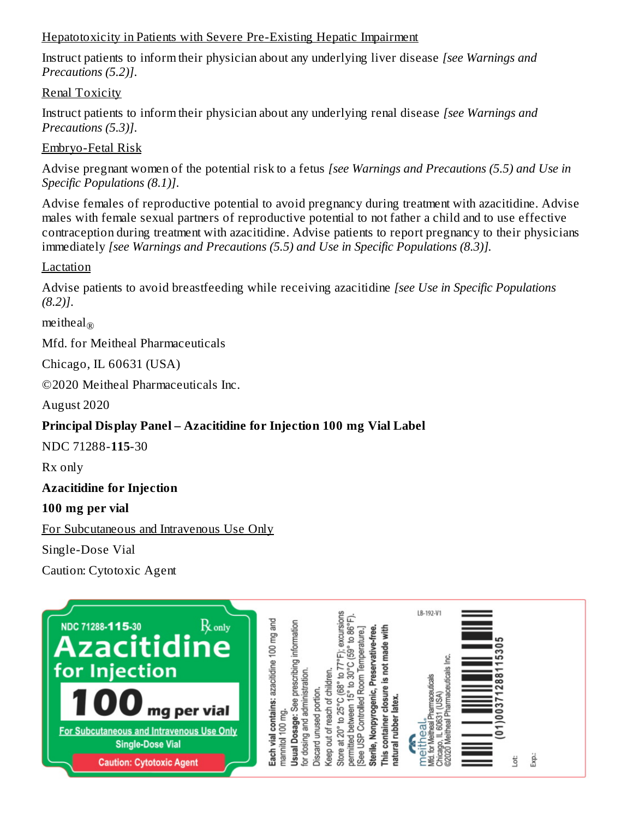#### Hepatotoxicity in Patients with Severe Pre-Existing Hepatic Impairment

Instruct patients to inform their physician about any underlying liver disease *[see Warnings and Precautions (5.2)]*.

Renal Toxicity

Instruct patients to inform their physician about any underlying renal disease *[see Warnings and Precautions (5.3)]*.

Embryo-Fetal Risk

Advise pregnant women of the potential risk to a fetus *[see Warnings and Precautions (5.5) and Use in Specific Populations (8.1)]*.

Advise females of reproductive potential to avoid pregnancy during treatment with azacitidine. Advise males with female sexual partners of reproductive potential to not father a child and to use effective contraception during treatment with azacitidine. Advise patients to report pregnancy to their physicians immediately *[see Warnings and Precautions (5.5) and Use in Specific Populations (8.3)].*

### Lactation

Advise patients to avoid breastfeeding while receiving azacitidine *[see Use in Specific Populations (8.2)]*.

meitheal $_\circledR$ 

Mfd. for Meitheal Pharmaceuticals

Chicago, IL 60631 (USA)

©2020 Meitheal Pharmaceuticals Inc.

August 2020

## **Principal Display Panel – Azacitidine for Injection 100 mg Vial Label**

NDC 71288-**115**-30

Rx only

### **Azacitidine for Injection**

## **100 mg per vial**

For Subcutaneous and Intravenous Use Only

Single-Dose Vial

Caution: Cytotoxic Agent

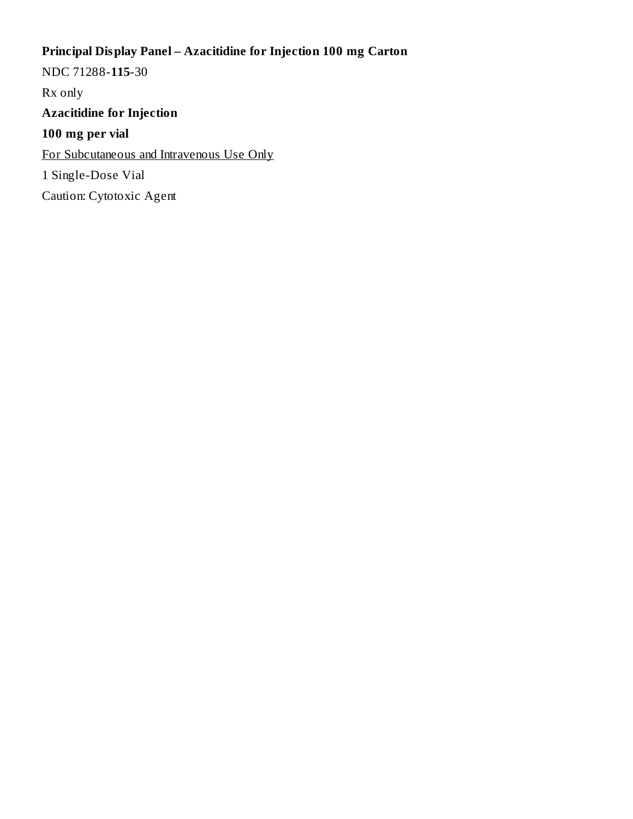# **Principal Display Panel – Azacitidine for Injection 100 mg Carton**

NDC 71288-**115**-30 Rx only **Azacitidine for Injection 100 mg per vial** For Subcutaneous and Intravenous Use Only 1 Single-Dose Vial Caution: Cytotoxic Agent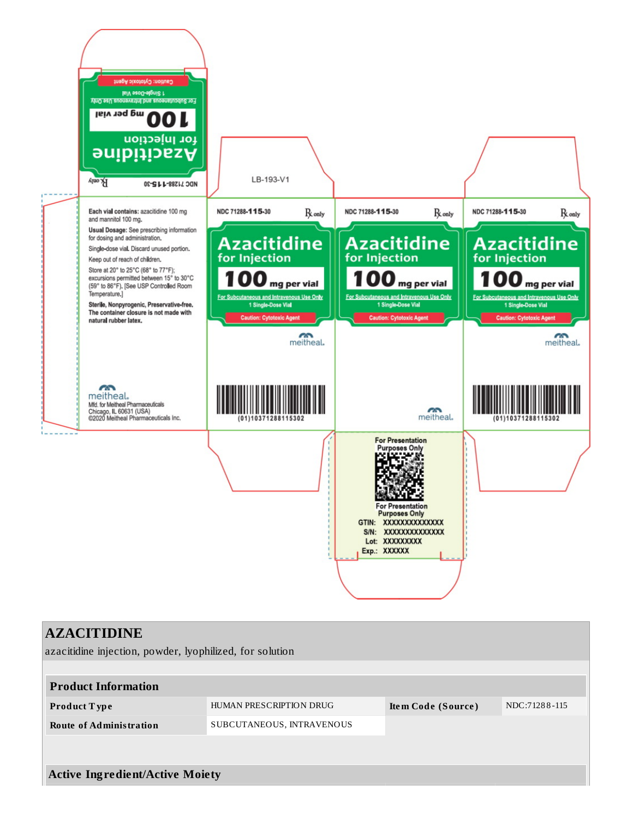

| <b>AZACITIDINE</b>                                       |                           |                    |               |
|----------------------------------------------------------|---------------------------|--------------------|---------------|
| azacitidine injection, powder, lyophilized, for solution |                           |                    |               |
|                                                          |                           |                    |               |
| <b>Product Information</b>                               |                           |                    |               |
| Product Type                                             | HUMAN PRESCRIPTION DRUG   | Item Code (Source) | NDC:71288-115 |
| <b>Route of Administration</b>                           | SUBCUTANEOUS, INTRAVENOUS |                    |               |
|                                                          |                           |                    |               |
|                                                          |                           |                    |               |
| <b>Active Ingredient/Active Moiety</b>                   |                           |                    |               |